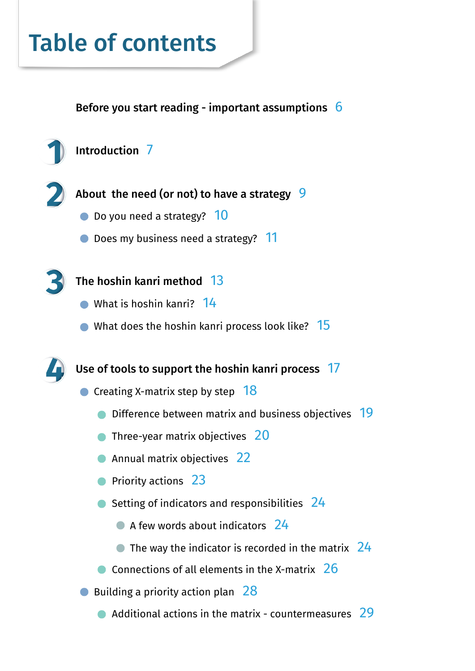# Table of contents

Before you start reading - important assumptions 6





About the need (or not) to have a strategy 9

- Do you need a strategy? 10
- Does my business need a strategy? 11



### The hoshin kanri method 13

- What is hoshin kanri? 14
- $\bullet$  What does the hoshin kanri process look like?  $15$

Use of tools to support the hoshin kanri process 17

- $\bullet$  Creating X-matrix step by step  $18$ 
	- **Difference between matrix and business objectives** 19
	- **Three-year matrix objectives** 20
	- **Annual matrix objectives** 22
	- **Priority actions** 23
	- $\bullet$  Setting of indicators and responsibilities  $24$ 
		- A few words about indicators 24
		- $\bullet$  The way the indicator is recorded in the matrix  $24$
	- $\bullet$  Connections of all elements in the X-matrix 26
- Building a priority action plan 28
	- $\bullet$  Additional actions in the matrix countermeasures 29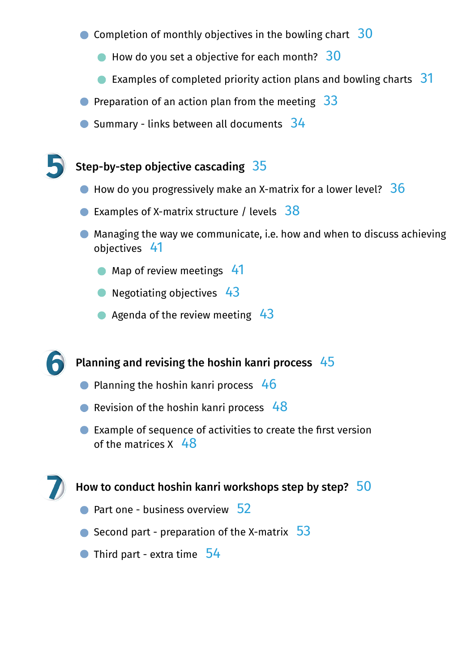- Completion of monthly objectives in the bowling chart  $30$ 
	- $\bullet$  How do you set a objective for each month? 30
	- **Examples of completed priority action plans and bowling charts**  $31$
- **•** Preparation of an action plan from the meeting  $33$
- $\bullet$  Summary links between all documents  $34$

#### Step-by-step objective cascading  $35$

- $\bullet$  How do you progressively make an X-matrix for a lower level?  $36$
- **Examples of X-matrix structure / levels**  $38$
- Managing the way we communicate, i.e. how and when to discuss achieving objectives 41
	- Map of review meetings 41
	- Negotiating objectives 43
	- Agenda of the review meeting  $43$

#### Planning and revising the hoshin kanri process  $45$

- $\bullet$  Planning the hoshin kanri process 46
- Revision of the hoshin kanri process  $48$
- Example of sequence of activities to create the first version of the matrices  $X$  48

#### How to conduct hoshin kanri workshops step by step?  $\overline{50}$

- $\bullet$  Part one business overview  $52$
- Second part preparation of the X-matrix  $\overline{53}$
- Third part extra time 54